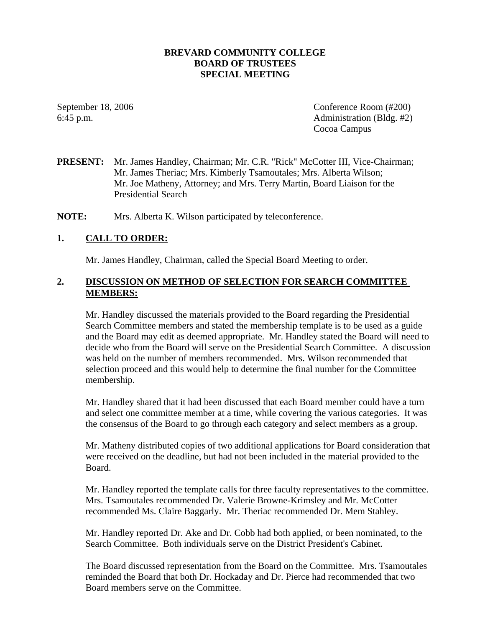### **BREVARD COMMUNITY COLLEGE BOARD OF TRUSTEES SPECIAL MEETING**

September 18, 2006 Conference Room (#200) 6:45 p.m. Administration (Bldg. #2) Cocoa Campus

## **PRESENT:** Mr. James Handley, Chairman; Mr. C.R. "Rick" McCotter III, Vice-Chairman; Mr. James Theriac; Mrs. Kimberly Tsamoutales; Mrs. Alberta Wilson; Mr. Joe Matheny, Attorney; and Mrs. Terry Martin, Board Liaison for the Presidential Search

**NOTE:** Mrs. Alberta K. Wilson participated by teleconference.

## **1. CALL TO ORDER:**

Mr. James Handley, Chairman, called the Special Board Meeting to order.

## **2. DISCUSSION ON METHOD OF SELECTION FOR SEARCH COMMITTEE MEMBERS:**

Mr. Handley discussed the materials provided to the Board regarding the Presidential Search Committee members and stated the membership template is to be used as a guide and the Board may edit as deemed appropriate. Mr. Handley stated the Board will need to decide who from the Board will serve on the Presidential Search Committee. A discussion was held on the number of members recommended. Mrs. Wilson recommended that selection proceed and this would help to determine the final number for the Committee membership.

Mr. Handley shared that it had been discussed that each Board member could have a turn and select one committee member at a time, while covering the various categories. It was the consensus of the Board to go through each category and select members as a group.

Mr. Matheny distributed copies of two additional applications for Board consideration that were received on the deadline, but had not been included in the material provided to the Board.

Mr. Handley reported the template calls for three faculty representatives to the committee. Mrs. Tsamoutales recommended Dr. Valerie Browne-Krimsley and Mr. McCotter recommended Ms. Claire Baggarly. Mr. Theriac recommended Dr. Mem Stahley.

Mr. Handley reported Dr. Ake and Dr. Cobb had both applied, or been nominated, to the Search Committee. Both individuals serve on the District President's Cabinet.

The Board discussed representation from the Board on the Committee. Mrs. Tsamoutales reminded the Board that both Dr. Hockaday and Dr. Pierce had recommended that two Board members serve on the Committee.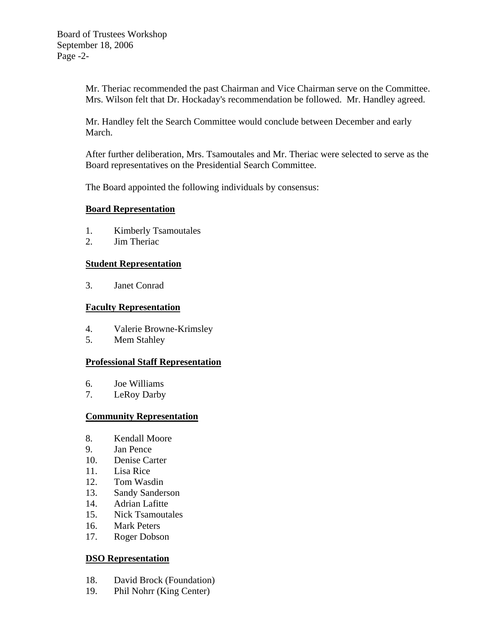Mr. Theriac recommended the past Chairman and Vice Chairman serve on the Committee. Mrs. Wilson felt that Dr. Hockaday's recommendation be followed. Mr. Handley agreed.

Mr. Handley felt the Search Committee would conclude between December and early March.

After further deliberation, Mrs. Tsamoutales and Mr. Theriac were selected to serve as the Board representatives on the Presidential Search Committee.

The Board appointed the following individuals by consensus:

### **Board Representation**

- 1. Kimberly Tsamoutales
- 2. Jim Theriac

## **Student Representation**

3. Janet Conrad

## **Faculty Representation**

- 4. Valerie Browne-Krimsley
- 5. Mem Stahley

# **Professional Staff Representation**

- 6. Joe Williams
- 7. LeRoy Darby

# **Community Representation**

- 8. Kendall Moore
- 9. Jan Pence
- 10. Denise Carter
- 11. Lisa Rice
- 12. Tom Wasdin
- 13. Sandy Sanderson
- 14. Adrian Lafitte
- 15. Nick Tsamoutales
- 16. Mark Peters
- 17. Roger Dobson

### **DSO Representation**

- 18. David Brock (Foundation)
- 19. Phil Nohrr (King Center)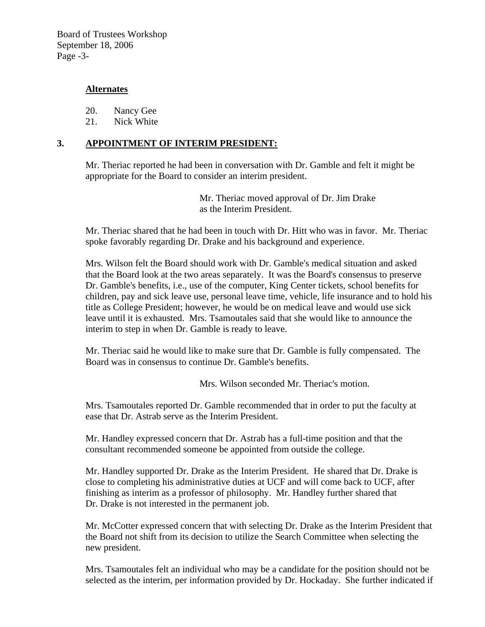Board of Trustees Workshop September 18, 2006 Page -3-

## **Alternates**

20. Nancy Gee

21. Nick White

## **3. APPOINTMENT OF INTERIM PRESIDENT:**

Mr. Theriac reported he had been in conversation with Dr. Gamble and felt it might be appropriate for the Board to consider an interim president.

> Mr. Theriac moved approval of Dr. Jim Drake as the Interim President.

Mr. Theriac shared that he had been in touch with Dr. Hitt who was in favor. Mr. Theriac spoke favorably regarding Dr. Drake and his background and experience.

Mrs. Wilson felt the Board should work with Dr. Gamble's medical situation and asked that the Board look at the two areas separately. It was the Board's consensus to preserve Dr. Gamble's benefits, i.e., use of the computer, King Center tickets, school benefits for children, pay and sick leave use, personal leave time, vehicle, life insurance and to hold his title as College President; however, he would be on medical leave and would use sick leave until it is exhausted. Mrs. Tsamoutales said that she would like to announce the interim to step in when Dr. Gamble is ready to leave.

Mr. Theriac said he would like to make sure that Dr. Gamble is fully compensated. The Board was in consensus to continue Dr. Gamble's benefits.

Mrs. Wilson seconded Mr. Theriac's motion.

Mrs. Tsamoutales reported Dr. Gamble recommended that in order to put the faculty at ease that Dr. Astrab serve as the Interim President.

Mr. Handley expressed concern that Dr. Astrab has a full-time position and that the consultant recommended someone be appointed from outside the college.

Mr. Handley supported Dr. Drake as the Interim President. He shared that Dr. Drake is close to completing his administrative duties at UCF and will come back to UCF, after finishing as interim as a professor of philosophy. Mr. Handley further shared that Dr. Drake is not interested in the permanent job.

Mr. McCotter expressed concern that with selecting Dr. Drake as the Interim President that the Board not shift from its decision to utilize the Search Committee when selecting the new president.

Mrs. Tsamoutales felt an individual who may be a candidate for the position should not be selected as the interim, per information provided by Dr. Hockaday. She further indicated if